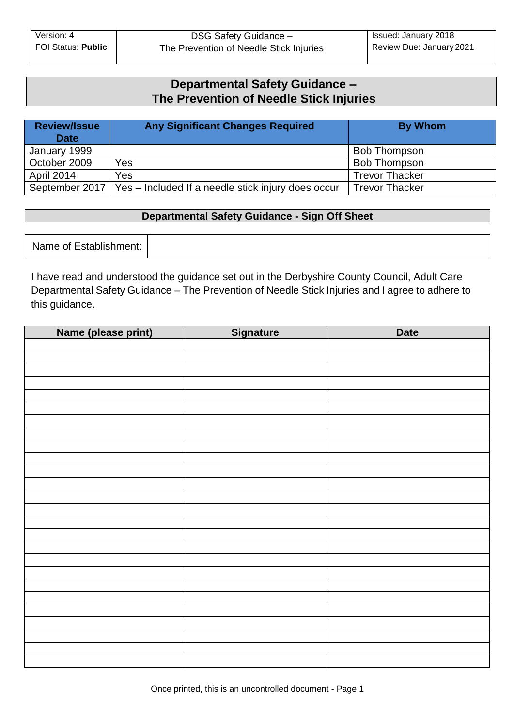# **Departmental Safety Guidance – The Prevention of Needle Stick Injuries**

| <b>Review/Issue</b><br><b>Date</b> | <b>Any Significant Changes Required</b>                             | <b>By Whom</b>        |
|------------------------------------|---------------------------------------------------------------------|-----------------------|
| January 1999                       |                                                                     | <b>Bob Thompson</b>   |
| October 2009                       | Yes                                                                 | <b>Bob Thompson</b>   |
| <b>April 2014</b>                  | Yes                                                                 | <b>Trevor Thacker</b> |
|                                    | September 2017   Yes - Included If a needle stick injury does occur | <b>Trevor Thacker</b> |

# **Departmental Safety Guidance - Sign Off Sheet**

Name of Establishment:

I have read and understood the guidance set out in the Derbyshire County Council, Adult Care Departmental Safety Guidance – The Prevention of Needle Stick Injuries and I agree to adhere to this guidance.

| Name (please print) | <b>Signature</b> | <b>Date</b> |
|---------------------|------------------|-------------|
|                     |                  |             |
|                     |                  |             |
|                     |                  |             |
|                     |                  |             |
|                     |                  |             |
|                     |                  |             |
|                     |                  |             |
|                     |                  |             |
|                     |                  |             |
|                     |                  |             |
|                     |                  |             |
|                     |                  |             |
|                     |                  |             |
|                     |                  |             |
|                     |                  |             |
|                     |                  |             |
|                     |                  |             |
|                     |                  |             |
|                     |                  |             |
|                     |                  |             |
|                     |                  |             |
|                     |                  |             |
|                     |                  |             |
|                     |                  |             |
|                     |                  |             |
|                     |                  |             |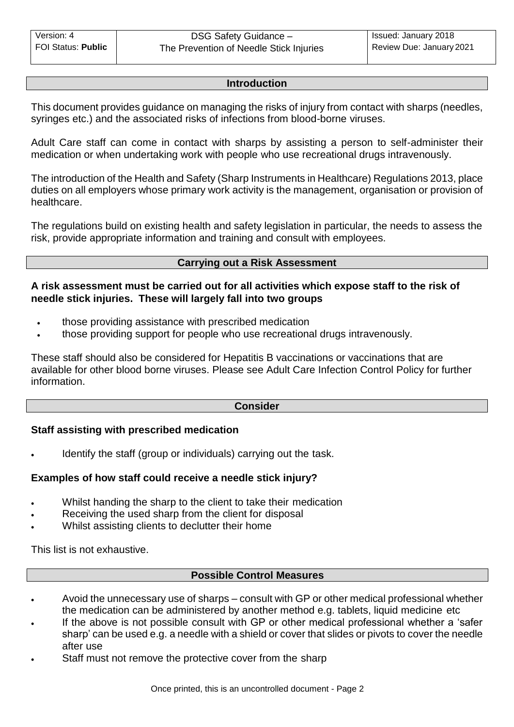#### **Introduction**

This document provides guidance on managing the risks of injury from contact with sharps (needles, syringes etc.) and the associated risks of infections from blood-borne viruses.

Adult Care staff can come in contact with sharps by assisting a person to self-administer their medication or when undertaking work with people who use recreational drugs intravenously.

The introduction of the Health and Safety (Sharp Instruments in Healthcare) Regulations 2013, place duties on all employers whose primary work activity is the management, organisation or provision of healthcare.

The regulations build on existing health and safety legislation in particular, the needs to assess the risk, provide appropriate information and training and consult with employees.

## **Carrying out a Risk Assessment**

## **A risk assessment must be carried out for all activities which expose staff to the risk of needle stick injuries. These will largely fall into two groups**

- those providing assistance with prescribed medication
- those providing support for people who use recreational drugs intravenously.

These staff should also be considered for Hepatitis B vaccinations or vaccinations that are available for other blood borne viruses. Please see Adult Care Infection Control Policy for further information.

#### **Consider**

## **Staff assisting with prescribed medication**

Identify the staff (group or individuals) carrying out the task.

## **Examples of how staff could receive a needle stick injury?**

- Whilst handing the sharp to the client to take their medication
- Receiving the used sharp from the client for disposal
- Whilst assisting clients to declutter their home

This list is not exhaustive.

#### **Possible Control Measures**

- Avoid the unnecessary use of sharps consult with GP or other medical professional whether the medication can be administered by another method e.g. tablets, liquid medicine etc
- If the above is not possible consult with GP or other medical professional whether a 'safer sharp' can be used e.g. a needle with a shield or cover that slides or pivots to cover the needle after use
- Staff must not remove the protective cover from the sharp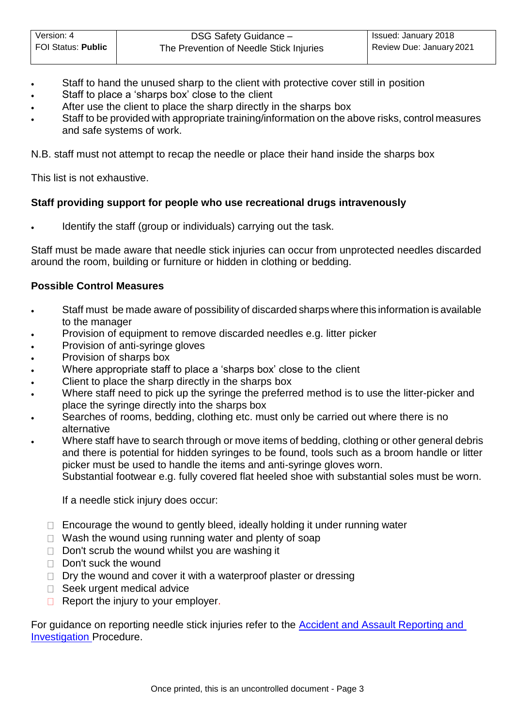- Staff to hand the unused sharp to the client with protective cover still in position
- Staff to place a 'sharps box' close to the client
- After use the client to place the sharp directly in the sharps box
- Staff to be provided with appropriate training/information on the above risks, control measures and safe systems of work.

N.B. staff must not attempt to recap the needle or place their hand inside the sharps box

This list is not exhaustive.

## **Staff providing support for people who use recreational drugs intravenously**

Identify the staff (group or individuals) carrying out the task.

Staff must be made aware that needle stick injuries can occur from unprotected needles discarded around the room, building or furniture or hidden in clothing or bedding.

#### **Possible Control Measures**

- Staff must be made aware of possibility of discarded sharps where this information is available to the manager
- Provision of equipment to remove discarded needles e.g. litter picker
- Provision of anti-syringe gloves
- Provision of sharps box
- Where appropriate staff to place a 'sharps box' close to the client
- Client to place the sharp directly in the sharps box
- Where staff need to pick up the syringe the preferred method is to use the litter-picker and place the syringe directly into the sharps box
- Searches of rooms, bedding, clothing etc. must only be carried out where there is no alternative
- Where staff have to search through or move items of bedding, clothing or other general debris and there is potential for hidden syringes to be found, tools such as a broom handle or litter picker must be used to handle the items and anti-syringe gloves worn.

Substantial footwear e.g. fully covered flat heeled shoe with substantial soles must be worn.

If a needle stick injury does occur:

- $\Box$  Encourage the wound to gently bleed, ideally holding it under running water
- $\Box$  Wash the wound using running water and plenty of soap
- $\Box$  Don't scrub the wound whilst you are washing it
- Don't suck the wound
- $\Box$  Dry the wound and cover it with a waterproof plaster or dressing
- □ Seek urgent medical advice
- $\Box$  Report the injury to your employer.

For guidance on reporting needle stick injuries refer to the **Accident and Assault Reporting and** [Investigation P](http://dnet/policies_and_procedures/older_adults/adult_care/all/hands/default.asp)rocedure.